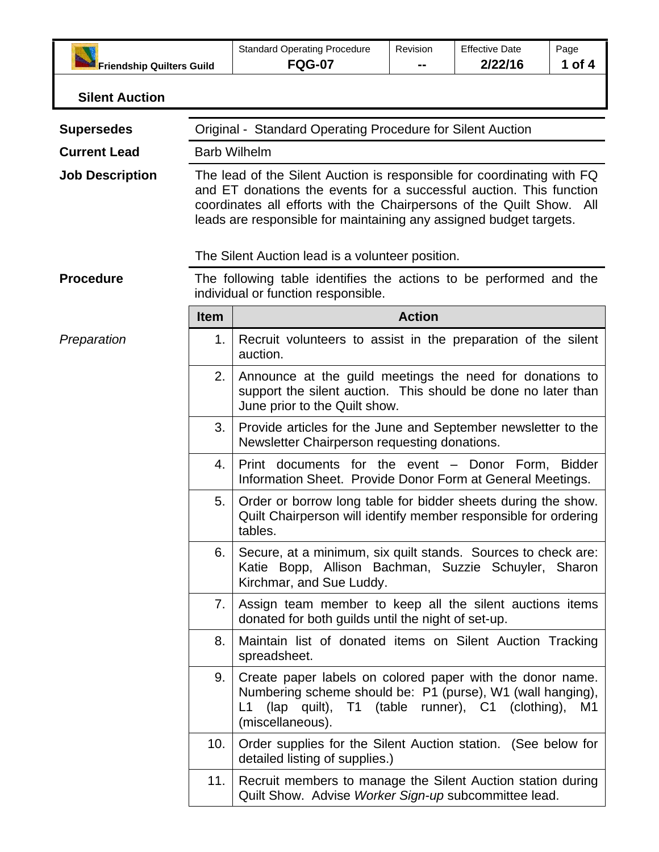|                                  |                                                                                                                                                                                                                                                                                                | <b>Standard Operating Procedure</b>                                                                                                                                                                                                     | Revision | <b>Effective Date</b> | Page     |
|----------------------------------|------------------------------------------------------------------------------------------------------------------------------------------------------------------------------------------------------------------------------------------------------------------------------------------------|-----------------------------------------------------------------------------------------------------------------------------------------------------------------------------------------------------------------------------------------|----------|-----------------------|----------|
| <b>Friendship Quilters Guild</b> |                                                                                                                                                                                                                                                                                                | <b>FQG-07</b>                                                                                                                                                                                                                           |          | 2/22/16               | 1 of $4$ |
| <b>Silent Auction</b>            |                                                                                                                                                                                                                                                                                                |                                                                                                                                                                                                                                         |          |                       |          |
| <b>Supersedes</b>                | Original - Standard Operating Procedure for Silent Auction                                                                                                                                                                                                                                     |                                                                                                                                                                                                                                         |          |                       |          |
| <b>Current Lead</b>              |                                                                                                                                                                                                                                                                                                | <b>Barb Wilhelm</b>                                                                                                                                                                                                                     |          |                       |          |
| <b>Job Description</b>           | The lead of the Silent Auction is responsible for coordinating with FQ<br>and ET donations the events for a successful auction. This function<br>coordinates all efforts with the Chairpersons of the Quilt Show.<br>All<br>leads are responsible for maintaining any assigned budget targets. |                                                                                                                                                                                                                                         |          |                       |          |
|                                  | The Silent Auction lead is a volunteer position.                                                                                                                                                                                                                                               |                                                                                                                                                                                                                                         |          |                       |          |
| <b>Procedure</b>                 | The following table identifies the actions to be performed and the<br>individual or function responsible.                                                                                                                                                                                      |                                                                                                                                                                                                                                         |          |                       |          |
|                                  | <b>Item</b>                                                                                                                                                                                                                                                                                    | <b>Action</b>                                                                                                                                                                                                                           |          |                       |          |
| Preparation                      | 1.                                                                                                                                                                                                                                                                                             | Recruit volunteers to assist in the preparation of the silent<br>auction.                                                                                                                                                               |          |                       |          |
|                                  | 2.<br>Announce at the guild meetings the need for donations to<br>support the silent auction. This should be done no later than<br>June prior to the Quilt show.                                                                                                                               |                                                                                                                                                                                                                                         |          |                       |          |
|                                  | 3.                                                                                                                                                                                                                                                                                             | Provide articles for the June and September newsletter to the<br>Newsletter Chairperson requesting donations.<br>Print documents for the event - Donor Form, Bidder<br>4.<br>Information Sheet. Provide Donor Form at General Meetings. |          |                       |          |
|                                  |                                                                                                                                                                                                                                                                                                |                                                                                                                                                                                                                                         |          |                       |          |
|                                  | 5.<br>Order or borrow long table for bidder sheets during the show.<br>Quilt Chairperson will identify member responsible for ordering<br>tables.                                                                                                                                              |                                                                                                                                                                                                                                         |          |                       |          |
|                                  | 6.                                                                                                                                                                                                                                                                                             | Secure, at a minimum, six quilt stands. Sources to check are:<br>Katie Bopp, Allison Bachman, Suzzie Schuyler, Sharon<br>Kirchmar, and Sue Luddy.                                                                                       |          |                       |          |
|                                  | 7.                                                                                                                                                                                                                                                                                             | Assign team member to keep all the silent auctions items<br>donated for both guilds until the night of set-up.                                                                                                                          |          |                       |          |
|                                  | 8.                                                                                                                                                                                                                                                                                             | Maintain list of donated items on Silent Auction Tracking<br>spreadsheet.                                                                                                                                                               |          |                       |          |
|                                  | 9.                                                                                                                                                                                                                                                                                             | Create paper labels on colored paper with the donor name.<br>Numbering scheme should be: P1 (purse), W1 (wall hanging),<br>(lap quilt), T1 (table runner), C1 (clothing), M1<br>L1<br>(miscellaneous).                                  |          |                       |          |
|                                  | 10.                                                                                                                                                                                                                                                                                            | Order supplies for the Silent Auction station. (See below for<br>detailed listing of supplies.)                                                                                                                                         |          |                       |          |
|                                  | 11.                                                                                                                                                                                                                                                                                            | Recruit members to manage the Silent Auction station during<br>Quilt Show. Advise Worker Sign-up subcommittee lead.                                                                                                                     |          |                       |          |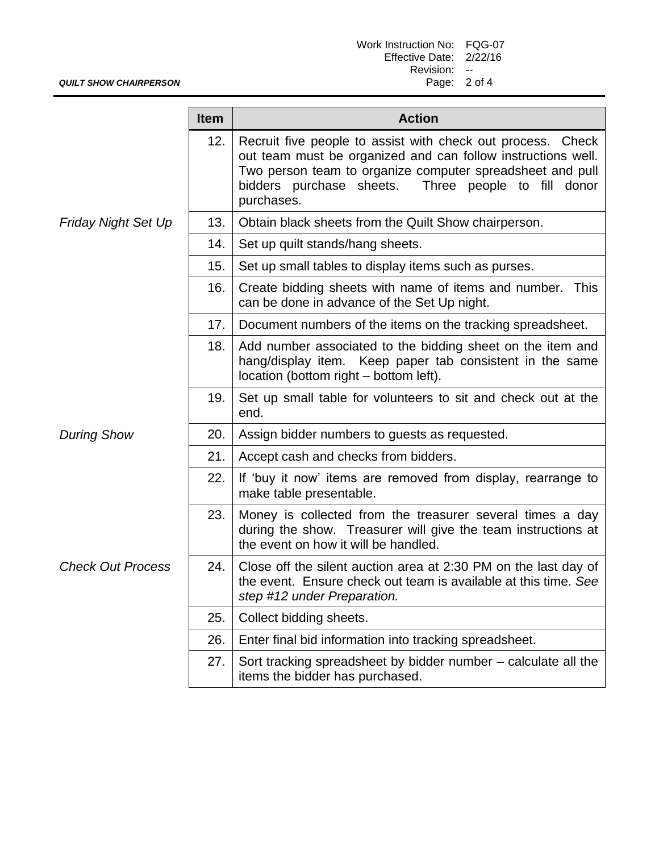| Work Instruction No: FQG-07 |  |
|-----------------------------|--|
| Effective Date: 2/22/16     |  |
| Revision:                   |  |
| Page: 2 of 4                |  |

|                            | <b>Item</b> | <b>Action</b>                                                                                                                                                                                                                                                    |  |
|----------------------------|-------------|------------------------------------------------------------------------------------------------------------------------------------------------------------------------------------------------------------------------------------------------------------------|--|
|                            | 12.         | Recruit five people to assist with check out process. Check<br>out team must be organized and can follow instructions well.<br>Two person team to organize computer spreadsheet and pull<br>bidders purchase sheets.<br>Three people to fill donor<br>purchases. |  |
| <b>Friday Night Set Up</b> | 13.         | Obtain black sheets from the Quilt Show chairperson.                                                                                                                                                                                                             |  |
|                            | 14.         | Set up quilt stands/hang sheets.                                                                                                                                                                                                                                 |  |
|                            | 15.         | Set up small tables to display items such as purses.                                                                                                                                                                                                             |  |
|                            | 16.         | Create bidding sheets with name of items and number.<br><b>This</b><br>can be done in advance of the Set Up night.                                                                                                                                               |  |
|                            | 17.         | Document numbers of the items on the tracking spreadsheet.                                                                                                                                                                                                       |  |
|                            | 18.         | Add number associated to the bidding sheet on the item and<br>hang/display item. Keep paper tab consistent in the same<br>location (bottom right – bottom left).                                                                                                 |  |
|                            | 19.         | Set up small table for volunteers to sit and check out at the<br>end.                                                                                                                                                                                            |  |
| <b>During Show</b>         | 20.         | Assign bidder numbers to guests as requested.                                                                                                                                                                                                                    |  |
|                            | 21.         | Accept cash and checks from bidders.                                                                                                                                                                                                                             |  |
|                            | 22.         | If 'buy it now' items are removed from display, rearrange to<br>make table presentable.                                                                                                                                                                          |  |
|                            | 23.         | Money is collected from the treasurer several times a day<br>during the show. Treasurer will give the team instructions at<br>the event on how it will be handled.                                                                                               |  |
| <b>Check Out Process</b>   | 24.         | Close off the silent auction area at 2:30 PM on the last day of<br>the event. Ensure check out team is available at this time. See<br>step #12 under Preparation.                                                                                                |  |
|                            | 25.         | Collect bidding sheets.                                                                                                                                                                                                                                          |  |
|                            | 26.         | Enter final bid information into tracking spreadsheet.                                                                                                                                                                                                           |  |
|                            | 27.         | Sort tracking spreadsheet by bidder number – calculate all the<br>items the bidder has purchased.                                                                                                                                                                |  |

*QUILT SHOW CHAIRPERSON*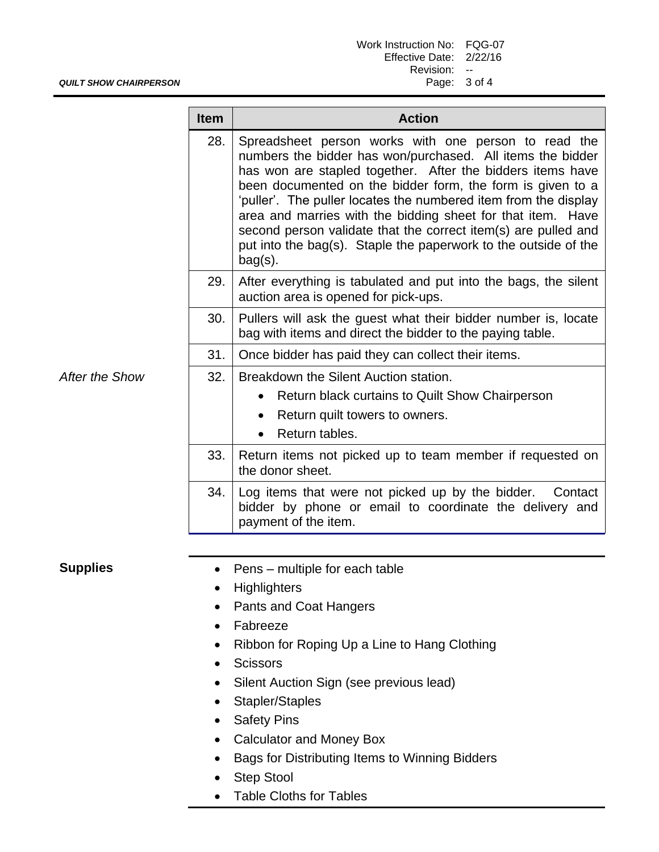| Work Instruction No: FQG-07 |     |
|-----------------------------|-----|
| Effective Date: 2/22/16     |     |
| Revision:                   | $-$ |
| Page: 3 of 4                |     |

## *QUILT SHOW CHAIRPERSON*

|                | <b>Item</b> | <b>Action</b>                                                                                                                                                                                                                                                                                                                                                                                                                                                                                                                       |  |
|----------------|-------------|-------------------------------------------------------------------------------------------------------------------------------------------------------------------------------------------------------------------------------------------------------------------------------------------------------------------------------------------------------------------------------------------------------------------------------------------------------------------------------------------------------------------------------------|--|
|                | 28.         | Spreadsheet person works with one person to read the<br>numbers the bidder has won/purchased. All items the bidder<br>has won are stapled together. After the bidders items have<br>been documented on the bidder form, the form is given to a<br>'puller'. The puller locates the numbered item from the display<br>area and marries with the bidding sheet for that item. Have<br>second person validate that the correct item(s) are pulled and<br>put into the bag(s). Staple the paperwork to the outside of the<br>$bag(s)$ . |  |
|                | 29.         | After everything is tabulated and put into the bags, the silent<br>auction area is opened for pick-ups.                                                                                                                                                                                                                                                                                                                                                                                                                             |  |
|                | 30.         | Pullers will ask the guest what their bidder number is, locate<br>bag with items and direct the bidder to the paying table.                                                                                                                                                                                                                                                                                                                                                                                                         |  |
|                | 31.         | Once bidder has paid they can collect their items.                                                                                                                                                                                                                                                                                                                                                                                                                                                                                  |  |
| After the Show | 32.         | Breakdown the Silent Auction station.<br>Return black curtains to Quilt Show Chairperson<br>Return quilt towers to owners.<br>$\bullet$<br>Return tables.<br>$\bullet$                                                                                                                                                                                                                                                                                                                                                              |  |
|                | 33.         | Return items not picked up to team member if requested on<br>the donor sheet.                                                                                                                                                                                                                                                                                                                                                                                                                                                       |  |
|                | 34.         | Log items that were not picked up by the bidder.<br>Contact<br>bidder by phone or email to coordinate the delivery and<br>payment of the item.                                                                                                                                                                                                                                                                                                                                                                                      |  |
|                |             |                                                                                                                                                                                                                                                                                                                                                                                                                                                                                                                                     |  |

- **Supplies** Pens multiple for each table
	- Highlighters
	- Pants and Coat Hangers
	- Fabreeze
	- Ribbon for Roping Up a Line to Hang Clothing
	- Scissors
	- Silent Auction Sign (see previous lead)
	- Stapler/Staples
	- Safety Pins
	- Calculator and Money Box
	- Bags for Distributing Items to Winning Bidders
	- Step Stool
	- Table Cloths for Tables